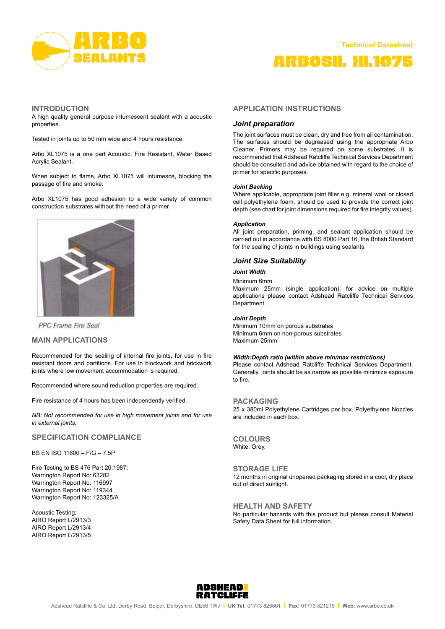

# arbosil xl1075

#### **INTRODUCTION**

A high quality general purpose intumescent sealant with a acoustic properties.

Tested in joints up to 50 mm wide and 4 hours resistance.

Arbo XL1075 is a one part Acoustic, Fire Resistant, Water Based Acrylic Sealant.

When subject to flame, Arbo XL1075 will intumesce, blocking the passage of fire and smoke.

Arbo XL1075 has good adhesion to a wide variety of common construction substrates without the need of a primer.



**PPC** Frame Fire Seal

# **MAIN APPLICATIONS**

Recommended for the sealing of internal fire joints, for use in fire resistant doors and partitions. For use in blockwork and brickwork joints where low movement accommodation is required.

Recommended where sound reduction properties are required.

Fire resistance of 4 hours has been independently verified.

*NB: Not recommended for use in high movement joints and for use in external joints.*

# **Specification Compliance**

BS EN ISO 11600 – F/G – 7.5P

Fire Testing to BS 476 Part 20:1987; Warrington Report No: 63282 Warrington Report No: 116997 Warrington Report No: 119344 Warrington Report No: 123325/A

Acoustic Testing; AIRO Report L/2913/3 AIRO Report L/2913/4 AIRO Report L/2913/5

# **APPLICATION INSTRUCTIONS**

## *Joint preparation*

The joint surfaces must be clean, dry and free from all contamination. The surfaces should be degreased using the appropriate Arbo Cleaner. Primers may be required on some substrates. It is recommended that Adshead Ratcliffe Technical Services Department should be consulted and advice obtained with regard to the choice of primer for specific purposes.

#### *Joint Backing*

Where applicable, appropriate joint filler e.g. mineral wool or closed cell polyethylene foam, should be used to provide the correct joint depth (see chart for joint dimensions required for fire integrity values).

## *Application*

All joint preparation, priming, and sealant application should be carried out in accordance with BS 8000 Part 16, the British Standard for the sealing of joints in buildings using sealants.

# *Joint Size Suitability*

## *Joint Width*

Minimum 6mm

Maximum 25mm (single application); for advice on multiple applications please contact Adshead Ratcliffe Technical Services Department.

#### *Joint Depth*

Minimum 10mm on porous substrates Minimum 6mm on non-porous substrates Maximum 25mm

#### *Width:Depth ratio (within above min/max restrictions)*

Please contact Adshead Ratcliffe Technical Services Department. Generally, joints should be as narrow as possible minimize exposure to fire.

#### **PACKAGING**

25 x 380ml Polyethylene Cartridges per box. Polyethylene Nozzles are included in each box.

**COLOURS** White, Grey,

# **Storage Life**

12 months in original unopened packaging stored in a cool, dry place out of direct sunlight.

#### **Health and Safety**

No particular hazards with this product but please consult Material Safety Data Sheet for full information.